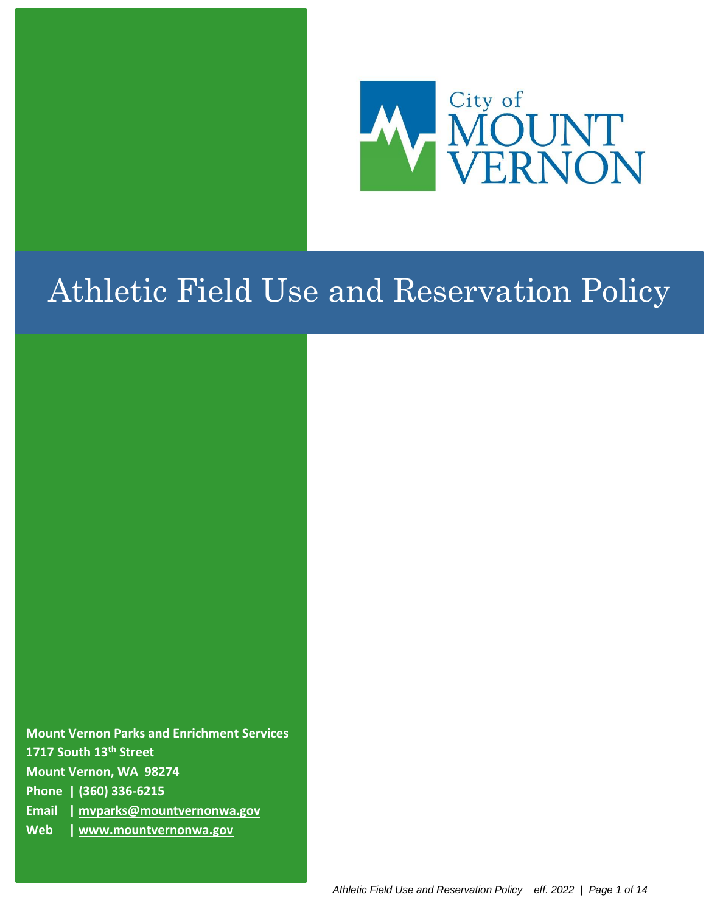

# Athletic Field Use and Reservation Policy

**Mount Vernon Parks and Enrichment Services 1717 South 13th Street Mount Vernon, WA 98274 Phone | (360) 336-6215 Email | mvparks@mountvernonwa.gov Web | [www.mountvernonwa.gov](http://www.mountvernonwa.gov/)**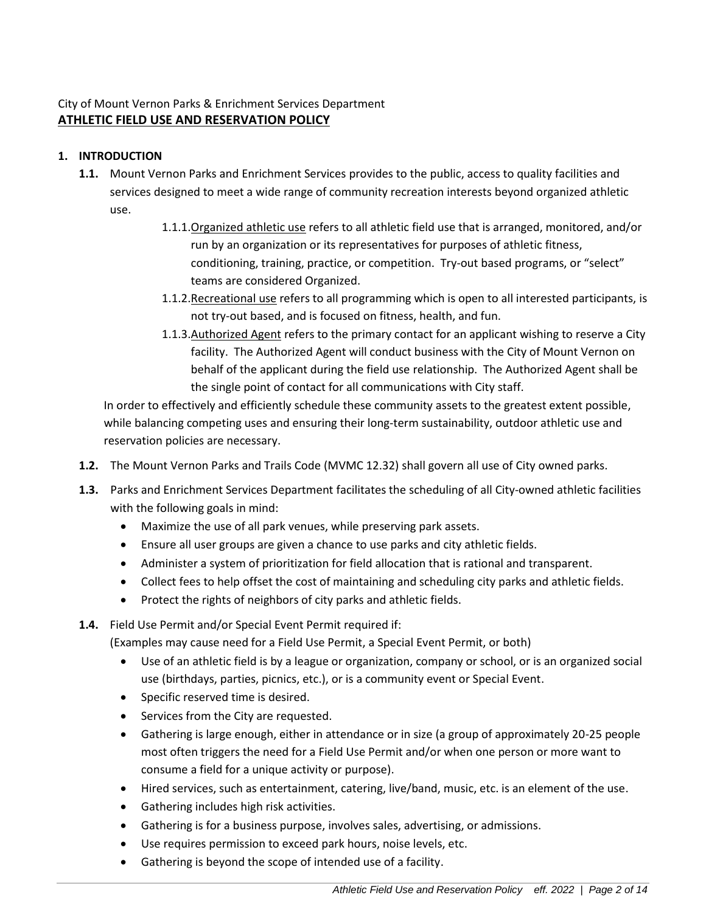# City of Mount Vernon Parks & Enrichment Services Department **ATHLETIC FIELD USE AND RESERVATION POLICY**

# **1. INTRODUCTION**

- **1.1.** Mount Vernon Parks and Enrichment Services provides to the public, access to quality facilities and services designed to meet a wide range of community recreation interests beyond organized athletic use.
	- 1.1.1.Organized athletic use refers to all athletic field use that is arranged, monitored, and/or run by an organization or its representatives for purposes of athletic fitness, conditioning, training, practice, or competition. Try-out based programs, or "select" teams are considered Organized.
	- 1.1.2.Recreational use refers to all programming which is open to all interested participants, is not try-out based, and is focused on fitness, health, and fun.
	- 1.1.3. Authorized Agent refers to the primary contact for an applicant wishing to reserve a City facility. The Authorized Agent will conduct business with the City of Mount Vernon on behalf of the applicant during the field use relationship. The Authorized Agent shall be the single point of contact for all communications with City staff.

In order to effectively and efficiently schedule these community assets to the greatest extent possible, while balancing competing uses and ensuring their long-term sustainability, outdoor athletic use and reservation policies are necessary.

- **1.2.** The Mount Vernon Parks and Trails Code (MVMC 12.32) shall govern all use of City owned parks.
- **1.3.** Parks and Enrichment Services Department facilitates the scheduling of all City-owned athletic facilities with the following goals in mind:
	- Maximize the use of all park venues, while preserving park assets.
	- Ensure all user groups are given a chance to use parks and city athletic fields.
	- Administer a system of prioritization for field allocation that is rational and transparent.
	- Collect fees to help offset the cost of maintaining and scheduling city parks and athletic fields.
	- Protect the rights of neighbors of city parks and athletic fields.
- **1.4.** Field Use Permit and/or Special Event Permit required if:

(Examples may cause need for a Field Use Permit, a Special Event Permit, or both)

- Use of an athletic field is by a league or organization, company or school, or is an organized social use (birthdays, parties, picnics, etc.), or is a community event or Special Event.
- Specific reserved time is desired.
- Services from the City are requested.
- Gathering is large enough, either in attendance or in size (a group of approximately 20-25 people most often triggers the need for a Field Use Permit and/or when one person or more want to consume a field for a unique activity or purpose).
- Hired services, such as entertainment, catering, live/band, music, etc. is an element of the use.
- Gathering includes high risk activities.
- Gathering is for a business purpose, involves sales, advertising, or admissions.
- Use requires permission to exceed park hours, noise levels, etc.
- Gathering is beyond the scope of intended use of a facility.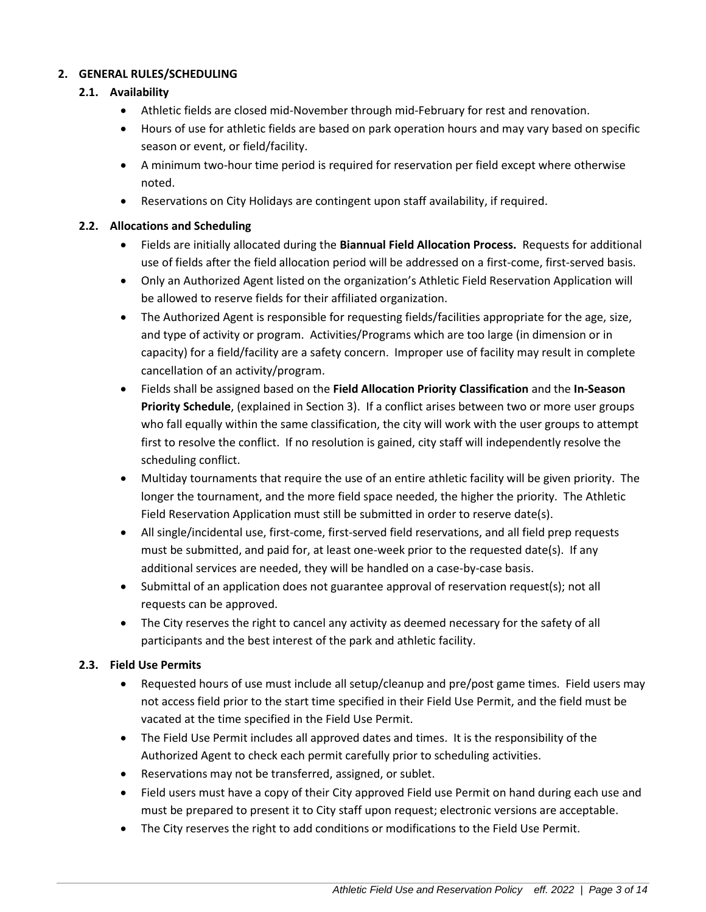# **2. GENERAL RULES/SCHEDULING**

# **2.1. Availability**

- Athletic fields are closed mid-November through mid-February for rest and renovation.
- Hours of use for athletic fields are based on park operation hours and may vary based on specific season or event, or field/facility.
- A minimum two-hour time period is required for reservation per field except where otherwise noted.
- Reservations on City Holidays are contingent upon staff availability, if required.

# **2.2. Allocations and Scheduling**

- Fields are initially allocated during the **Biannual Field Allocation Process.** Requests for additional use of fields after the field allocation period will be addressed on a first-come, first-served basis.
- Only an Authorized Agent listed on the organization's Athletic Field Reservation Application will be allowed to reserve fields for their affiliated organization.
- The Authorized Agent is responsible for requesting fields/facilities appropriate for the age, size, and type of activity or program. Activities/Programs which are too large (in dimension or in capacity) for a field/facility are a safety concern. Improper use of facility may result in complete cancellation of an activity/program.
- Fields shall be assigned based on the **Field Allocation Priority Classification** and the **In-Season Priority Schedule**, (explained in Section 3). If a conflict arises between two or more user groups who fall equally within the same classification, the city will work with the user groups to attempt first to resolve the conflict. If no resolution is gained, city staff will independently resolve the scheduling conflict.
- Multiday tournaments that require the use of an entire athletic facility will be given priority. The longer the tournament, and the more field space needed, the higher the priority. The Athletic Field Reservation Application must still be submitted in order to reserve date(s).
- All single/incidental use, first-come, first-served field reservations, and all field prep requests must be submitted, and paid for, at least one-week prior to the requested date(s). If any additional services are needed, they will be handled on a case-by-case basis.
- Submittal of an application does not guarantee approval of reservation request(s); not all requests can be approved.
- The City reserves the right to cancel any activity as deemed necessary for the safety of all participants and the best interest of the park and athletic facility.

# **2.3. Field Use Permits**

- Requested hours of use must include all setup/cleanup and pre/post game times. Field users may not access field prior to the start time specified in their Field Use Permit, and the field must be vacated at the time specified in the Field Use Permit.
- The Field Use Permit includes all approved dates and times. It is the responsibility of the Authorized Agent to check each permit carefully prior to scheduling activities.
- Reservations may not be transferred, assigned, or sublet.
- Field users must have a copy of their City approved Field use Permit on hand during each use and must be prepared to present it to City staff upon request; electronic versions are acceptable.
- The City reserves the right to add conditions or modifications to the Field Use Permit.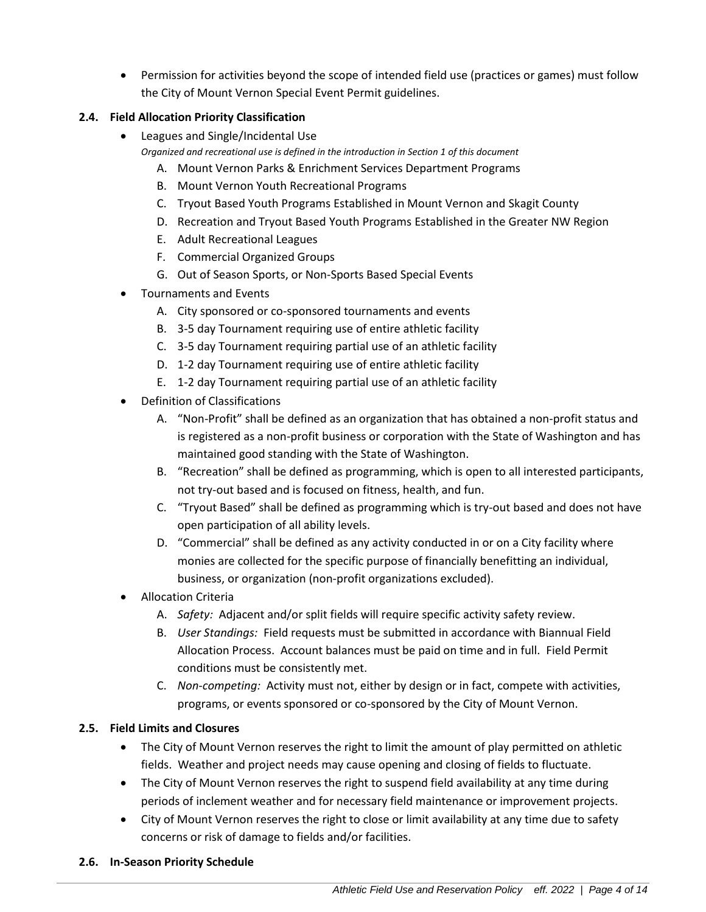• Permission for activities beyond the scope of intended field use (practices or games) must follow the City of Mount Vernon Special Event Permit guidelines.

# **2.4. Field Allocation Priority Classification**

- Leagues and Single/Incidental Use *Organized and recreational use is defined in the introduction in Section 1 of this document*
	- A. Mount Vernon Parks & Enrichment Services Department Programs
	- B. Mount Vernon Youth Recreational Programs
	- C. Tryout Based Youth Programs Established in Mount Vernon and Skagit County
	- D. Recreation and Tryout Based Youth Programs Established in the Greater NW Region
	- E. Adult Recreational Leagues
	- F. Commercial Organized Groups
	- G. Out of Season Sports, or Non-Sports Based Special Events
- Tournaments and Events
	- A. City sponsored or co-sponsored tournaments and events
	- B. 3-5 day Tournament requiring use of entire athletic facility
	- C. 3-5 day Tournament requiring partial use of an athletic facility
	- D. 1-2 day Tournament requiring use of entire athletic facility
	- E. 1-2 day Tournament requiring partial use of an athletic facility
- Definition of Classifications
	- A. "Non-Profit" shall be defined as an organization that has obtained a non-profit status and is registered as a non-profit business or corporation with the State of Washington and has maintained good standing with the State of Washington.
	- B. "Recreation" shall be defined as programming, which is open to all interested participants, not try-out based and is focused on fitness, health, and fun.
	- C. "Tryout Based" shall be defined as programming which is try-out based and does not have open participation of all ability levels.
	- D. "Commercial" shall be defined as any activity conducted in or on a City facility where monies are collected for the specific purpose of financially benefitting an individual, business, or organization (non-profit organizations excluded).
- Allocation Criteria
	- A. *Safety:* Adjacent and/or split fields will require specific activity safety review.
	- B. *User Standings:* Field requests must be submitted in accordance with Biannual Field Allocation Process. Account balances must be paid on time and in full. Field Permit conditions must be consistently met.
	- C. *Non-competing:* Activity must not, either by design or in fact, compete with activities, programs, or events sponsored or co-sponsored by the City of Mount Vernon.

# **2.5. Field Limits and Closures**

- The City of Mount Vernon reserves the right to limit the amount of play permitted on athletic fields. Weather and project needs may cause opening and closing of fields to fluctuate.
- The City of Mount Vernon reserves the right to suspend field availability at any time during periods of inclement weather and for necessary field maintenance or improvement projects.
- City of Mount Vernon reserves the right to close or limit availability at any time due to safety concerns or risk of damage to fields and/or facilities.

# **2.6. In-Season Priority Schedule**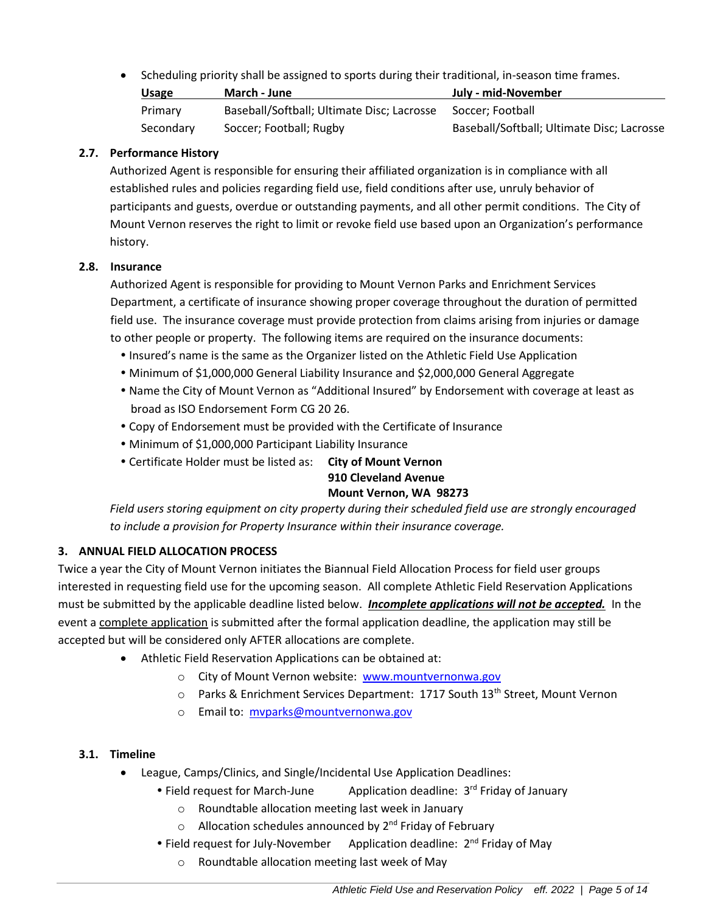• Scheduling priority shall be assigned to sports during their traditional, in-season time frames.

| <b>Usage</b> | March - June                               | July - mid-November                        |
|--------------|--------------------------------------------|--------------------------------------------|
| Primary      | Baseball/Softball; Ultimate Disc; Lacrosse | Soccer: Football                           |
| Secondary    | Soccer: Football: Rugby                    | Baseball/Softball; Ultimate Disc; Lacrosse |

## **2.7. Performance History**

Authorized Agent is responsible for ensuring their affiliated organization is in compliance with all established rules and policies regarding field use, field conditions after use, unruly behavior of participants and guests, overdue or outstanding payments, and all other permit conditions. The City of Mount Vernon reserves the right to limit or revoke field use based upon an Organization's performance history.

#### **2.8. Insurance**

Authorized Agent is responsible for providing to Mount Vernon Parks and Enrichment Services Department, a certificate of insurance showing proper coverage throughout the duration of permitted field use. The insurance coverage must provide protection from claims arising from injuries or damage to other people or property. The following items are required on the insurance documents:

- Insured's name is the same as the Organizer listed on the Athletic Field Use Application
- Minimum of \$1,000,000 General Liability Insurance and \$2,000,000 General Aggregate
- Name the City of Mount Vernon as "Additional Insured" by Endorsement with coverage at least as broad as ISO Endorsement Form CG 20 26.
- Copy of Endorsement must be provided with the Certificate of Insurance
- Minimum of \$1,000,000 Participant Liability Insurance
- Certificate Holder must be listed as: **City of Mount Vernon**

# **910 Cleveland Avenue**

# **Mount Vernon, WA 98273**

*Field users storing equipment on city property during their scheduled field use are strongly encouraged to include a provision for Property Insurance within their insurance coverage.* 

# **3. ANNUAL FIELD ALLOCATION PROCESS**

Twice a year the City of Mount Vernon initiates the Biannual Field Allocation Process for field user groups interested in requesting field use for the upcoming season. All complete Athletic Field Reservation Applications must be submitted by the applicable deadline listed below. *Incomplete applications will not be accepted.* In the event a complete application is submitted after the formal application deadline, the application may still be accepted but will be considered only AFTER allocations are complete.

- Athletic Field Reservation Applications can be obtained at:
	- o City of Mount Vernon website: [www.mountvernonwa.gov](http://www.mountvernonwa.gov/)
	- $\circ$  Parks & Enrichment Services Department: 1717 South 13<sup>th</sup> Street, Mount Vernon
	- o Email to: [mvparks@mountvernonwa.gov](mailto:mvparks@mountvernonwa.gov)

#### **3.1. Timeline**

- League, Camps/Clinics, and Single/Incidental Use Application Deadlines:
	- Field request for March-June Application deadline:  $3<sup>rd</sup>$  Friday of January
		- o Roundtable allocation meeting last week in January
		- o Allocation schedules announced by 2<sup>nd</sup> Friday of February
	- Field request for July-November Application deadline: 2<sup>nd</sup> Friday of May
		- o Roundtable allocation meeting last week of May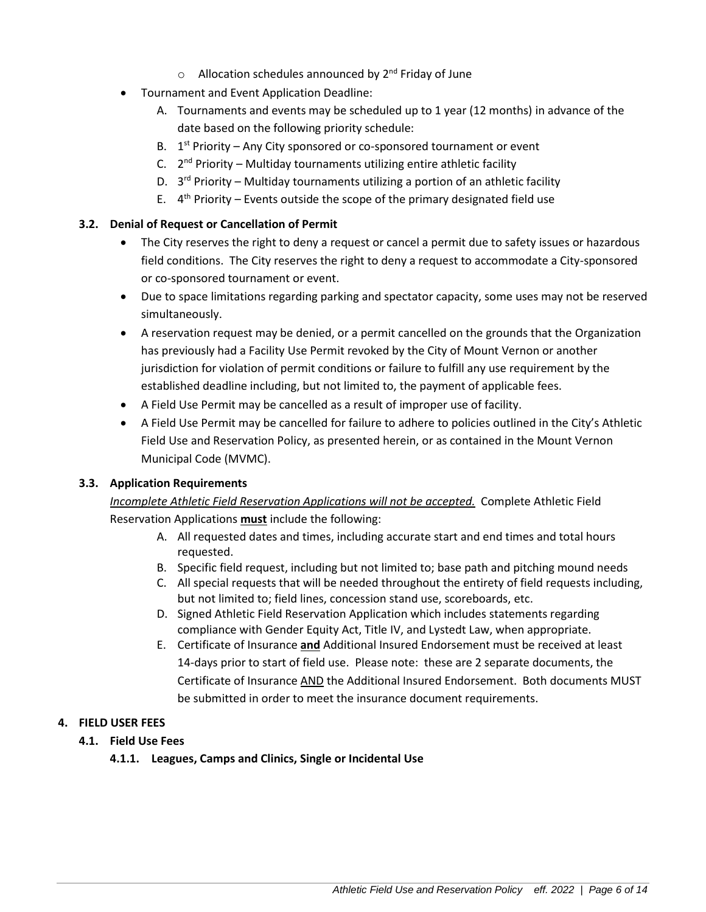- o Allocation schedules announced by 2<sup>nd</sup> Friday of June
- Tournament and Event Application Deadline:
	- A. Tournaments and events may be scheduled up to 1 year (12 months) in advance of the date based on the following priority schedule:
	- B.  $1<sup>st</sup>$  Priority Any City sponsored or co-sponsored tournament or event
	- C. 2<sup>nd</sup> Priority Multiday tournaments utilizing entire athletic facility
	- D. 3<sup>rd</sup> Priority Multiday tournaments utilizing a portion of an athletic facility
	- E.  $4<sup>th</sup>$  Priority Events outside the scope of the primary designated field use

#### **3.2. Denial of Request or Cancellation of Permit**

- The City reserves the right to deny a request or cancel a permit due to safety issues or hazardous field conditions. The City reserves the right to deny a request to accommodate a City-sponsored or co-sponsored tournament or event.
- Due to space limitations regarding parking and spectator capacity, some uses may not be reserved simultaneously.
- A reservation request may be denied, or a permit cancelled on the grounds that the Organization has previously had a Facility Use Permit revoked by the City of Mount Vernon or another jurisdiction for violation of permit conditions or failure to fulfill any use requirement by the established deadline including, but not limited to, the payment of applicable fees.
- A Field Use Permit may be cancelled as a result of improper use of facility.
- A Field Use Permit may be cancelled for failure to adhere to policies outlined in the City's Athletic Field Use and Reservation Policy, as presented herein, or as contained in the Mount Vernon Municipal Code (MVMC).

#### **3.3. Application Requirements**

*Incomplete Athletic Field Reservation Applications will not be accepted.* Complete Athletic Field Reservation Applications **must** include the following:

- A. All requested dates and times, including accurate start and end times and total hours requested.
- B. Specific field request, including but not limited to; base path and pitching mound needs
- C. All special requests that will be needed throughout the entirety of field requests including, but not limited to; field lines, concession stand use, scoreboards, etc.
- D. Signed Athletic Field Reservation Application which includes statements regarding compliance with Gender Equity Act, Title IV, and Lystedt Law, when appropriate.
- E. Certificate of Insurance **and** Additional Insured Endorsement must be received at least 14-days prior to start of field use. Please note: these are 2 separate documents, the Certificate of Insurance AND the Additional Insured Endorsement. Both documents MUST be submitted in order to meet the insurance document requirements.

#### **4. FIELD USER FEES**

**4.1. Field Use Fees**

**4.1.1. Leagues, Camps and Clinics, Single or Incidental Use**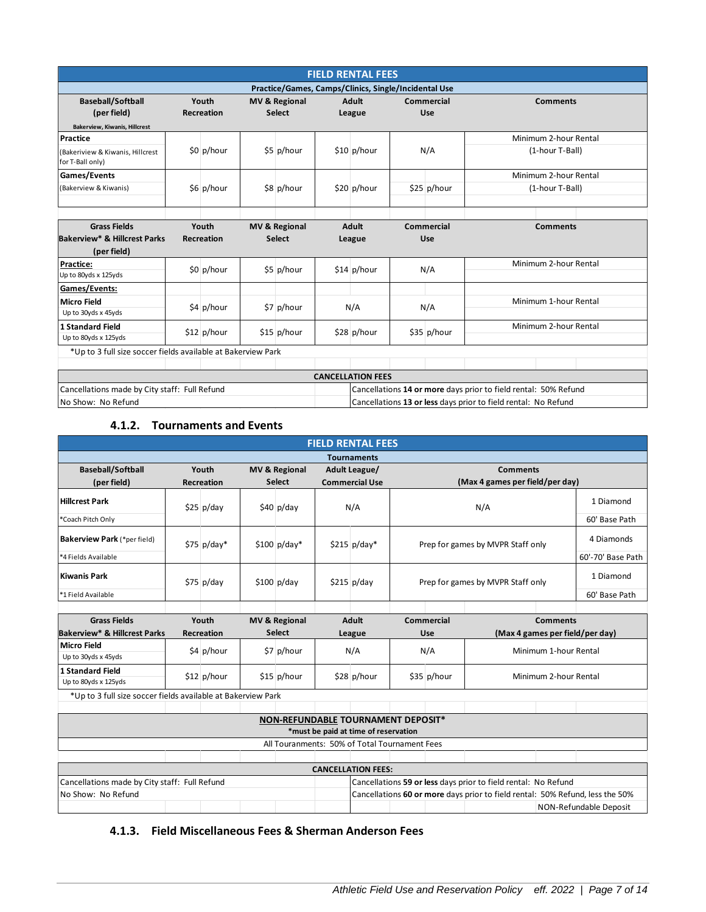|                                                                |                            |  |                                                      |                                                                 | <b>FIELD RENTAL FEES</b> |     |                   |                       |  |  |  |
|----------------------------------------------------------------|----------------------------|--|------------------------------------------------------|-----------------------------------------------------------------|--------------------------|-----|-------------------|-----------------------|--|--|--|
|                                                                |                            |  | Practice/Games, Camps/Clinics, Single/Incidental Use |                                                                 |                          |     |                   |                       |  |  |  |
| <b>Baseball/Softball</b>                                       | Youth                      |  | <b>MV &amp; Regional</b>                             |                                                                 | <b>Adult</b>             |     | Commercial        | <b>Comments</b>       |  |  |  |
| (per field)                                                    | <b>Recreation</b>          |  | <b>Select</b>                                        |                                                                 | League                   |     | Use               |                       |  |  |  |
| <b>Bakerview, Kiwanis, Hillcrest</b>                           |                            |  |                                                      |                                                                 |                          |     |                   |                       |  |  |  |
| Practice                                                       |                            |  |                                                      |                                                                 |                          |     |                   | Minimum 2-hour Rental |  |  |  |
| (Bakeriview & Kiwanis, Hillcrest<br>for T-Ball only)           | \$0 p/hour                 |  | \$5 p/hour                                           |                                                                 | $$10$ p/hour             | N/A |                   | (1-hour T-Ball)       |  |  |  |
| <b>Games/Events</b>                                            |                            |  |                                                      |                                                                 |                          |     |                   | Minimum 2-hour Rental |  |  |  |
| (Bakerview & Kiwanis)                                          | \$6 p/hour                 |  | \$8 p/hour                                           |                                                                 | $$20$ p/hour             |     | $$25$ p/hour      | (1-hour T-Ball)       |  |  |  |
|                                                                |                            |  |                                                      |                                                                 |                          |     |                   |                       |  |  |  |
| <b>Grass Fields</b><br><b>Bakerview* &amp; Hillcrest Parks</b> | Youth<br><b>Recreation</b> |  | <b>MV &amp; Regional</b><br><b>Select</b>            |                                                                 | <b>Adult</b><br>League   |     | Commercial<br>Use | <b>Comments</b>       |  |  |  |
| (per field)                                                    |                            |  |                                                      |                                                                 |                          |     |                   |                       |  |  |  |
| Practice:                                                      | \$0 p/hour                 |  |                                                      |                                                                 | $$14$ p/hour             | N/A |                   | Minimum 2-hour Rental |  |  |  |
| Up to 80yds x 125yds                                           |                            |  | \$5 p/hour                                           |                                                                 |                          |     |                   |                       |  |  |  |
| Games/Events:                                                  |                            |  |                                                      |                                                                 |                          |     |                   |                       |  |  |  |
| <b>Micro Field</b><br>Up to 30yds x 45yds                      | \$4 p/hour                 |  | \$7 p/hour                                           |                                                                 | N/A                      |     | N/A               | Minimum 1-hour Rental |  |  |  |
| <b>1 Standard Field</b><br>Up to 80yds x 125yds                | $$12$ p/hour               |  | $$15$ p/hour                                         |                                                                 | $$28$ p/hour             |     | \$35 p/hour       | Minimum 2-hour Rental |  |  |  |
| *Up to 3 full size soccer fields available at Bakerview Park   |                            |  |                                                      |                                                                 |                          |     |                   |                       |  |  |  |
|                                                                |                            |  |                                                      |                                                                 |                          |     |                   |                       |  |  |  |
|                                                                |                            |  |                                                      |                                                                 | <b>CANCELLATION FEES</b> |     |                   |                       |  |  |  |
| Cancellations made by City staff: Full Refund                  |                            |  |                                                      | Cancellations 14 or more days prior to field rental: 50% Refund |                          |     |                   |                       |  |  |  |
| No Show: No Refund                                             |                            |  |                                                      | Cancellations 13 or less days prior to field rental: No Refund  |                          |     |                   |                       |  |  |  |

## **4.1.2. Tournaments and Events**

| <b>FIELD RENTAL FEES</b>                                            |       |                            |                          |                          |               |                                                                                                                                                 |                                   |             |                                   |  |                        |
|---------------------------------------------------------------------|-------|----------------------------|--------------------------|--------------------------|---------------|-------------------------------------------------------------------------------------------------------------------------------------------------|-----------------------------------|-------------|-----------------------------------|--|------------------------|
|                                                                     |       |                            |                          |                          |               | <b>Tournaments</b>                                                                                                                              |                                   |             |                                   |  |                        |
| <b>Baseball/Softball</b>                                            | Youth |                            | <b>MV &amp; Regional</b> |                          | Adult League/ |                                                                                                                                                 | <b>Comments</b>                   |             |                                   |  |                        |
| (per field)                                                         |       | <b>Recreation</b>          |                          | <b>Select</b>            |               | <b>Commercial Use</b>                                                                                                                           |                                   |             | (Max 4 games per field/per day)   |  |                        |
| <b>Hillcrest Park</b>                                               |       | $$25$ p/day<br>$$40$ p/day |                          |                          | N/A           |                                                                                                                                                 | N/A                               |             |                                   |  | 1 Diamond              |
| *Coach Pitch Only                                                   |       |                            |                          |                          |               |                                                                                                                                                 |                                   |             | 60' Base Path                     |  |                        |
| Bakerview Park (*per field)                                         |       | $$75$ p/day*               |                          | $$100$ p/day*            |               | $$215$ p/day*                                                                                                                                   | Prep for games by MVPR Staff only |             |                                   |  | 4 Diamonds             |
| *4 Fields Available                                                 |       |                            |                          |                          |               |                                                                                                                                                 |                                   |             |                                   |  | 60'-70' Base Path      |
| <b>Kiwanis Park</b>                                                 |       | $$75$ p/day                |                          | $$100$ p/day             |               | $$215$ p/day                                                                                                                                    |                                   |             | Prep for games by MVPR Staff only |  | 1 Diamond              |
| *1 Field Available                                                  |       |                            |                          |                          |               |                                                                                                                                                 |                                   |             |                                   |  | 60' Base Path          |
|                                                                     |       |                            |                          |                          |               |                                                                                                                                                 |                                   |             |                                   |  |                        |
| <b>Grass Fields</b>                                                 |       | Youth                      |                          | <b>MV &amp; Regional</b> |               | <b>Adult</b>                                                                                                                                    |                                   | Commercial  | <b>Comments</b>                   |  |                        |
| <b>Bakerview* &amp; Hillcrest Parks</b>                             |       | <b>Recreation</b>          |                          | <b>Select</b>            |               | League                                                                                                                                          |                                   | Use         | (Max 4 games per field/per day)   |  |                        |
| <b>Micro Field</b><br>Up to 30yds x 45yds                           |       | \$4 p/hour                 |                          | \$7 p/hour               |               | N/A                                                                                                                                             | Minimum 1-hour Rental<br>N/A      |             |                                   |  |                        |
| <b>1 Standard Field</b><br>Up to 80yds x 125yds                     |       | $$12$ p/hour               |                          | $$15$ p/hour             |               | \$28 p/hour                                                                                                                                     |                                   | \$35 p/hour | Minimum 2-hour Rental             |  |                        |
| *Up to 3 full size soccer fields available at Bakerview Park        |       |                            |                          |                          |               |                                                                                                                                                 |                                   |             |                                   |  |                        |
|                                                                     |       |                            |                          |                          |               |                                                                                                                                                 |                                   |             |                                   |  |                        |
|                                                                     |       |                            |                          |                          |               | NON-REFUNDABLE TOURNAMENT DEPOSIT*                                                                                                              |                                   |             |                                   |  |                        |
| *must be paid at time of reservation                                |       |                            |                          |                          |               |                                                                                                                                                 |                                   |             |                                   |  |                        |
| All Touranments: 50% of Total Tournament Fees                       |       |                            |                          |                          |               |                                                                                                                                                 |                                   |             |                                   |  |                        |
|                                                                     |       |                            |                          |                          |               |                                                                                                                                                 |                                   |             |                                   |  |                        |
|                                                                     |       |                            |                          |                          |               | <b>CANCELLATION FEES:</b>                                                                                                                       |                                   |             |                                   |  |                        |
| Cancellations made by City staff: Full Refund<br>No Show: No Refund |       |                            |                          |                          |               | Cancellations 59 or less days prior to field rental: No Refund<br>Cancellations 60 or more days prior to field rental: 50% Refund, less the 50% |                                   |             |                                   |  |                        |
|                                                                     |       |                            |                          |                          |               |                                                                                                                                                 |                                   |             |                                   |  | NON-Refundable Deposit |

**4.1.3. Field Miscellaneous Fees & Sherman Anderson Fees**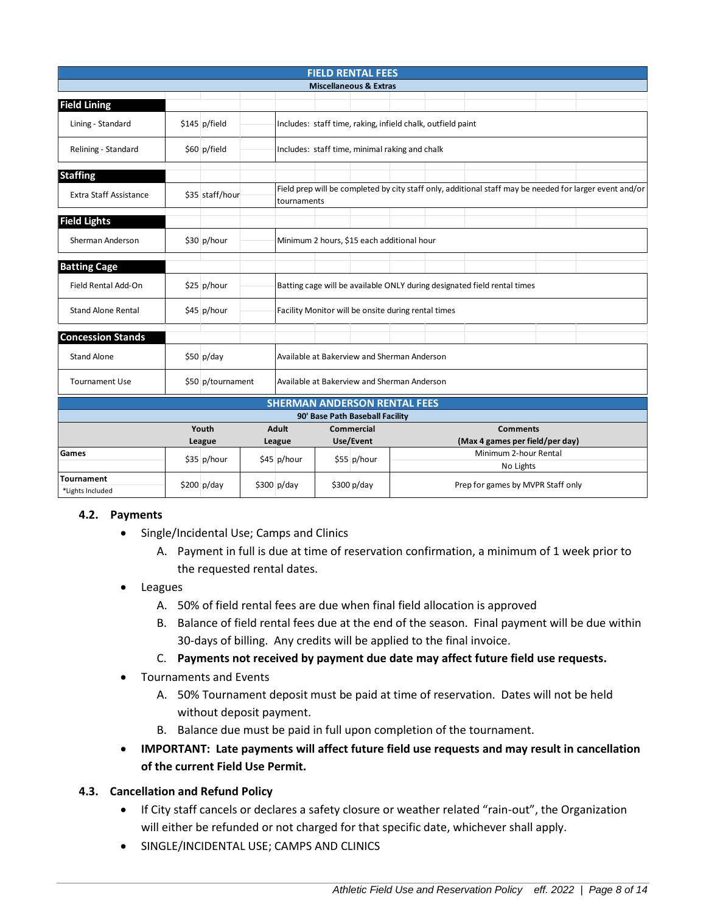| <b>FIELD RENTAL FEES</b>              |                                                            |                       |                                             |                                                                                                                        |  |             |                                                          |  |           |  |  |  |
|---------------------------------------|------------------------------------------------------------|-----------------------|---------------------------------------------|------------------------------------------------------------------------------------------------------------------------|--|-------------|----------------------------------------------------------|--|-----------|--|--|--|
| <b>Miscellaneous &amp; Extras</b>     |                                                            |                       |                                             |                                                                                                                        |  |             |                                                          |  |           |  |  |  |
| <b>Field Lining</b>                   |                                                            |                       |                                             |                                                                                                                        |  |             |                                                          |  |           |  |  |  |
| Lining - Standard                     |                                                            | \$145 p/field         |                                             | Includes: staff time, raking, infield chalk, outfield paint                                                            |  |             |                                                          |  |           |  |  |  |
| Relining - Standard                   |                                                            | \$60 p/field          |                                             | Includes: staff time, minimal raking and chalk                                                                         |  |             |                                                          |  |           |  |  |  |
| <b>Staffing</b>                       |                                                            |                       |                                             |                                                                                                                        |  |             |                                                          |  |           |  |  |  |
| <b>Extra Staff Assistance</b>         |                                                            | \$35 staff/hour       |                                             | Field prep will be completed by city staff only, additional staff may be needed for larger event and/or<br>tournaments |  |             |                                                          |  |           |  |  |  |
| <b>Field Lights</b>                   |                                                            |                       |                                             |                                                                                                                        |  |             |                                                          |  |           |  |  |  |
| Sherman Anderson                      |                                                            | \$30 p/hour           |                                             | Minimum 2 hours, \$15 each additional hour                                                                             |  |             |                                                          |  |           |  |  |  |
| <b>Batting Cage</b>                   |                                                            |                       |                                             |                                                                                                                        |  |             |                                                          |  |           |  |  |  |
| Field Rental Add-On                   |                                                            | $$25$ p/hour          |                                             | Batting cage will be available ONLY during designated field rental times                                               |  |             |                                                          |  |           |  |  |  |
| <b>Stand Alone Rental</b>             |                                                            | \$45 p/hour           |                                             | Facility Monitor will be onsite during rental times                                                                    |  |             |                                                          |  |           |  |  |  |
| <b>Concession Stands</b>              |                                                            |                       |                                             |                                                                                                                        |  |             |                                                          |  |           |  |  |  |
| <b>Stand Alone</b>                    |                                                            | $$50$ p/day           |                                             | Available at Bakerview and Sherman Anderson                                                                            |  |             |                                                          |  |           |  |  |  |
| <b>Tournament Use</b>                 |                                                            | \$50 p/tournament     | Available at Bakerview and Sherman Anderson |                                                                                                                        |  |             |                                                          |  |           |  |  |  |
| <b>SHERMAN ANDERSON RENTAL FEES</b>   |                                                            |                       |                                             |                                                                                                                        |  |             |                                                          |  |           |  |  |  |
| 90' Base Path Baseball Facility       |                                                            |                       |                                             |                                                                                                                        |  |             |                                                          |  |           |  |  |  |
|                                       | <b>Adult</b><br>Commercial<br><b>Comments</b><br>Use/Event |                       |                                             |                                                                                                                        |  |             |                                                          |  |           |  |  |  |
| Games                                 |                                                            | League<br>\$35 p/hour |                                             | League<br>\$45 p/hour                                                                                                  |  | \$55 p/hour | (Max 4 games per field/per day)<br>Minimum 2-hour Rental |  |           |  |  |  |
|                                       |                                                            |                       |                                             |                                                                                                                        |  |             |                                                          |  | No Lights |  |  |  |
| <b>Tournament</b><br>*Lights Included |                                                            | $$200$ p/day          |                                             | $$300$ p/day<br>\$300 p/day<br>Prep for games by MVPR Staff only                                                       |  |             |                                                          |  |           |  |  |  |

# **4.2. Payments**

- Single/Incidental Use; Camps and Clinics
	- A. Payment in full is due at time of reservation confirmation, a minimum of 1 week prior to the requested rental dates.
- **Leagues** 
	- A. 50% of field rental fees are due when final field allocation is approved
	- B. Balance of field rental fees due at the end of the season. Final payment will be due within 30-days of billing. Any credits will be applied to the final invoice.
	- C. **Payments not received by payment due date may affect future field use requests.**
- Tournaments and Events
	- A. 50% Tournament deposit must be paid at time of reservation. Dates will not be held without deposit payment.
	- B. Balance due must be paid in full upon completion of the tournament.
- **IMPORTANT: Late payments will affect future field use requests and may result in cancellation of the current Field Use Permit.**

#### **4.3. Cancellation and Refund Policy**

- If City staff cancels or declares a safety closure or weather related "rain-out", the Organization will either be refunded or not charged for that specific date, whichever shall apply.
- SINGLE/INCIDENTAL USE; CAMPS AND CLINICS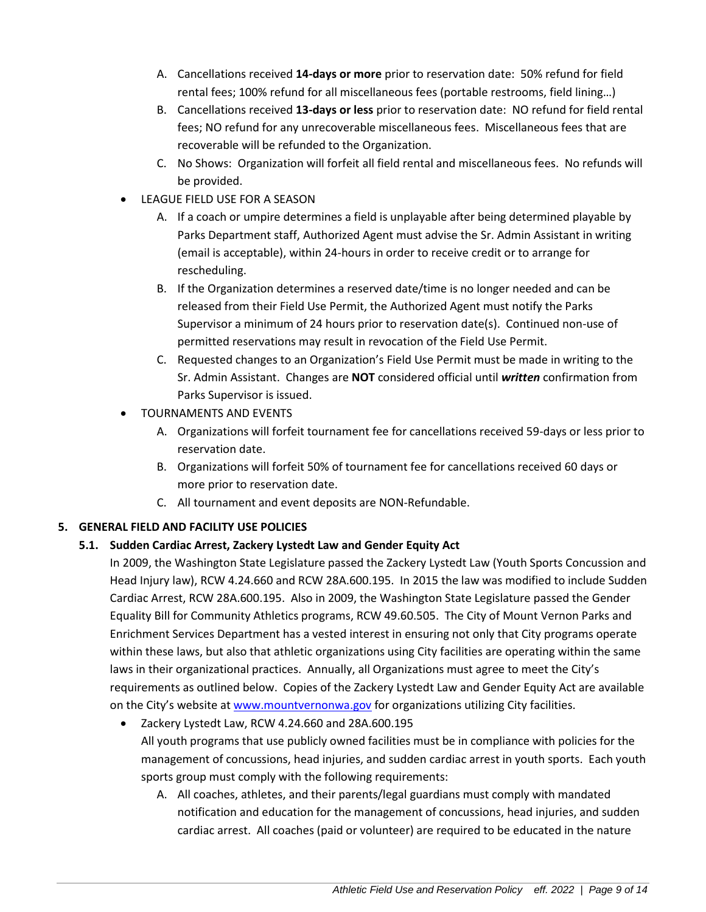- A. Cancellations received **14-days or more** prior to reservation date: 50% refund for field rental fees; 100% refund for all miscellaneous fees (portable restrooms, field lining…)
- B. Cancellations received **13-days or less** prior to reservation date: NO refund for field rental fees; NO refund for any unrecoverable miscellaneous fees. Miscellaneous fees that are recoverable will be refunded to the Organization.
- C. No Shows: Organization will forfeit all field rental and miscellaneous fees. No refunds will be provided.
- LEAGUE FIELD USE FOR A SEASON
	- A. If a coach or umpire determines a field is unplayable after being determined playable by Parks Department staff, Authorized Agent must advise the Sr. Admin Assistant in writing (email is acceptable), within 24-hours in order to receive credit or to arrange for rescheduling.
	- B. If the Organization determines a reserved date/time is no longer needed and can be released from their Field Use Permit, the Authorized Agent must notify the Parks Supervisor a minimum of 24 hours prior to reservation date(s). Continued non-use of permitted reservations may result in revocation of the Field Use Permit.
	- C. Requested changes to an Organization's Field Use Permit must be made in writing to the Sr. Admin Assistant. Changes are **NOT** considered official until *written* confirmation from Parks Supervisor is issued.
- TOURNAMENTS AND EVENTS
	- A. Organizations will forfeit tournament fee for cancellations received 59-days or less prior to reservation date.
	- B. Organizations will forfeit 50% of tournament fee for cancellations received 60 days or more prior to reservation date.
	- C. All tournament and event deposits are NON-Refundable.

# **5. GENERAL FIELD AND FACILITY USE POLICIES**

# **5.1. Sudden Cardiac Arrest, Zackery Lystedt Law and Gender Equity Act**

In 2009, the Washington State Legislature passed the Zackery Lystedt Law (Youth Sports Concussion and Head Injury law), RCW 4.24.660 and RCW 28A.600.195. In 2015 the law was modified to include Sudden Cardiac Arrest, RCW 28A.600.195. Also in 2009, the Washington State Legislature passed the Gender Equality Bill for Community Athletics programs, RCW 49.60.505. The City of Mount Vernon Parks and Enrichment Services Department has a vested interest in ensuring not only that City programs operate within these laws, but also that athletic organizations using City facilities are operating within the same laws in their organizational practices. Annually, all Organizations must agree to meet the City's requirements as outlined below. Copies of the Zackery Lystedt Law and Gender Equity Act are available on the City's website at [www.mountvernonwa.gov](http://www.mountvernonwa.gov/) for organizations utilizing City facilities.

- Zackery Lystedt Law, RCW 4.24.660 and 28A.600.195 All youth programs that use publicly owned facilities must be in compliance with policies for the management of concussions, head injuries, and sudden cardiac arrest in youth sports. Each youth sports group must comply with the following requirements:
	- A. All coaches, athletes, and their parents/legal guardians must comply with mandated notification and education for the management of concussions, head injuries, and sudden cardiac arrest. All coaches (paid or volunteer) are required to be educated in the nature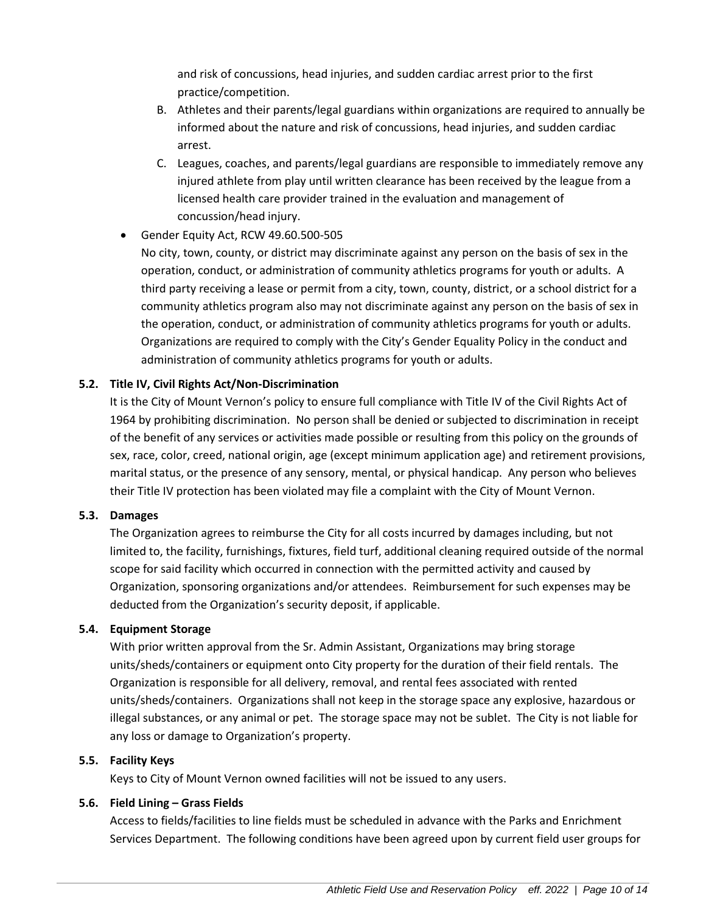and risk of concussions, head injuries, and sudden cardiac arrest prior to the first practice/competition.

- B. Athletes and their parents/legal guardians within organizations are required to annually be informed about the nature and risk of concussions, head injuries, and sudden cardiac arrest.
- C. Leagues, coaches, and parents/legal guardians are responsible to immediately remove any injured athlete from play until written clearance has been received by the league from a licensed health care provider trained in the evaluation and management of concussion/head injury.

# • Gender Equity Act, RCW 49.60.500-505

No city, town, county, or district may discriminate against any person on the basis of sex in the operation, conduct, or administration of community athletics programs for youth or adults. A third party receiving a lease or permit from a city, town, county, district, or a school district for a community athletics program also may not discriminate against any person on the basis of sex in the operation, conduct, or administration of community athletics programs for youth or adults. Organizations are required to comply with the City's Gender Equality Policy in the conduct and administration of community athletics programs for youth or adults.

# **5.2. Title IV, Civil Rights Act/Non-Discrimination**

It is the City of Mount Vernon's policy to ensure full compliance with Title IV of the Civil Rights Act of 1964 by prohibiting discrimination. No person shall be denied or subjected to discrimination in receipt of the benefit of any services or activities made possible or resulting from this policy on the grounds of sex, race, color, creed, national origin, age (except minimum application age) and retirement provisions, marital status, or the presence of any sensory, mental, or physical handicap. Any person who believes their Title IV protection has been violated may file a complaint with the City of Mount Vernon.

#### **5.3. Damages**

The Organization agrees to reimburse the City for all costs incurred by damages including, but not limited to, the facility, furnishings, fixtures, field turf, additional cleaning required outside of the normal scope for said facility which occurred in connection with the permitted activity and caused by Organization, sponsoring organizations and/or attendees. Reimbursement for such expenses may be deducted from the Organization's security deposit, if applicable.

#### **5.4. Equipment Storage**

With prior written approval from the Sr. Admin Assistant, Organizations may bring storage units/sheds/containers or equipment onto City property for the duration of their field rentals. The Organization is responsible for all delivery, removal, and rental fees associated with rented units/sheds/containers. Organizations shall not keep in the storage space any explosive, hazardous or illegal substances, or any animal or pet. The storage space may not be sublet. The City is not liable for any loss or damage to Organization's property.

#### **5.5. Facility Keys**

Keys to City of Mount Vernon owned facilities will not be issued to any users.

#### **5.6. Field Lining – Grass Fields**

Access to fields/facilities to line fields must be scheduled in advance with the Parks and Enrichment Services Department. The following conditions have been agreed upon by current field user groups for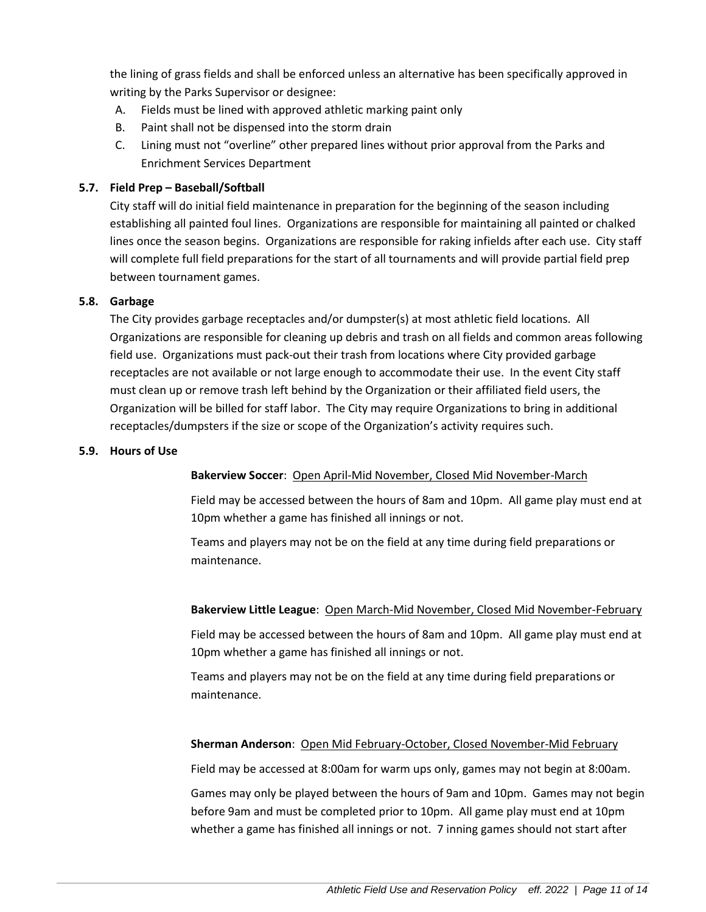the lining of grass fields and shall be enforced unless an alternative has been specifically approved in writing by the Parks Supervisor or designee:

- A. Fields must be lined with approved athletic marking paint only
- B. Paint shall not be dispensed into the storm drain
- C. Lining must not "overline" other prepared lines without prior approval from the Parks and Enrichment Services Department

# **5.7. Field Prep – Baseball/Softball**

City staff will do initial field maintenance in preparation for the beginning of the season including establishing all painted foul lines. Organizations are responsible for maintaining all painted or chalked lines once the season begins. Organizations are responsible for raking infields after each use. City staff will complete full field preparations for the start of all tournaments and will provide partial field prep between tournament games.

#### **5.8. Garbage**

The City provides garbage receptacles and/or dumpster(s) at most athletic field locations. All Organizations are responsible for cleaning up debris and trash on all fields and common areas following field use. Organizations must pack-out their trash from locations where City provided garbage receptacles are not available or not large enough to accommodate their use. In the event City staff must clean up or remove trash left behind by the Organization or their affiliated field users, the Organization will be billed for staff labor. The City may require Organizations to bring in additional receptacles/dumpsters if the size or scope of the Organization's activity requires such.

#### **5.9. Hours of Use**

# **Bakerview Soccer**: Open April-Mid November, Closed Mid November-March

Field may be accessed between the hours of 8am and 10pm. All game play must end at 10pm whether a game has finished all innings or not.

Teams and players may not be on the field at any time during field preparations or maintenance.

# **Bakerview Little League**: Open March-Mid November, Closed Mid November-February

Field may be accessed between the hours of 8am and 10pm. All game play must end at 10pm whether a game has finished all innings or not.

Teams and players may not be on the field at any time during field preparations or maintenance.

# **Sherman Anderson**: Open Mid February-October, Closed November-Mid February

Field may be accessed at 8:00am for warm ups only, games may not begin at 8:00am.

Games may only be played between the hours of 9am and 10pm. Games may not begin before 9am and must be completed prior to 10pm. All game play must end at 10pm whether a game has finished all innings or not. 7 inning games should not start after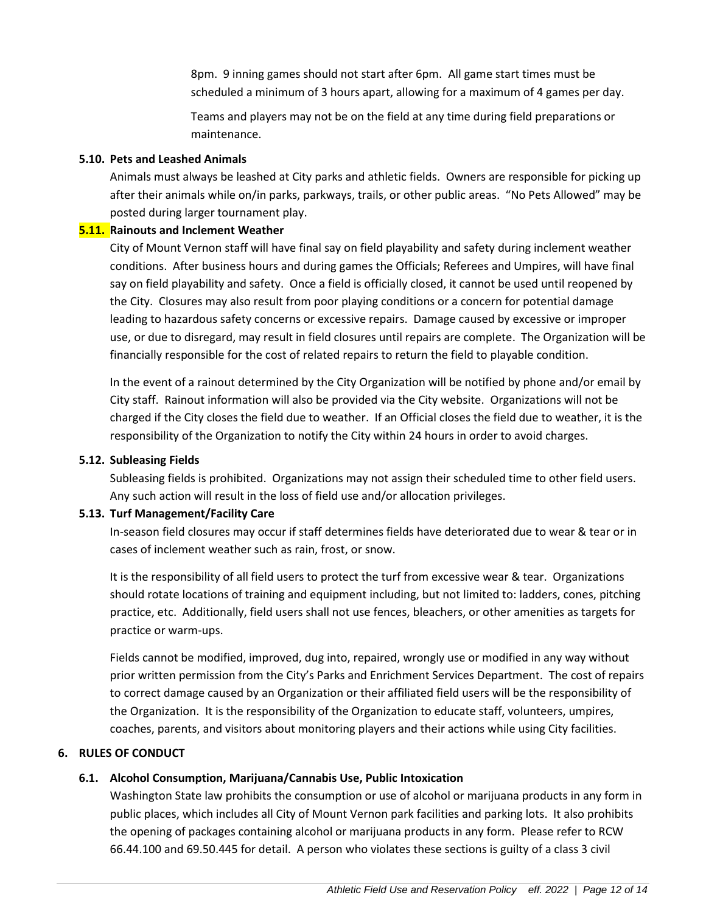8pm. 9 inning games should not start after 6pm. All game start times must be scheduled a minimum of 3 hours apart, allowing for a maximum of 4 games per day.

Teams and players may not be on the field at any time during field preparations or maintenance.

## **5.10. Pets and Leashed Animals**

Animals must always be leashed at City parks and athletic fields. Owners are responsible for picking up after their animals while on/in parks, parkways, trails, or other public areas. "No Pets Allowed" may be posted during larger tournament play.

## **5.11. Rainouts and Inclement Weather**

City of Mount Vernon staff will have final say on field playability and safety during inclement weather conditions. After business hours and during games the Officials; Referees and Umpires, will have final say on field playability and safety. Once a field is officially closed, it cannot be used until reopened by the City. Closures may also result from poor playing conditions or a concern for potential damage leading to hazardous safety concerns or excessive repairs. Damage caused by excessive or improper use, or due to disregard, may result in field closures until repairs are complete. The Organization will be financially responsible for the cost of related repairs to return the field to playable condition.

In the event of a rainout determined by the City Organization will be notified by phone and/or email by City staff. Rainout information will also be provided via the City website. Organizations will not be charged if the City closes the field due to weather. If an Official closes the field due to weather, it is the responsibility of the Organization to notify the City within 24 hours in order to avoid charges.

#### **5.12. Subleasing Fields**

Subleasing fields is prohibited. Organizations may not assign their scheduled time to other field users. Any such action will result in the loss of field use and/or allocation privileges.

# **5.13. Turf Management/Facility Care**

In-season field closures may occur if staff determines fields have deteriorated due to wear & tear or in cases of inclement weather such as rain, frost, or snow.

It is the responsibility of all field users to protect the turf from excessive wear & tear. Organizations should rotate locations of training and equipment including, but not limited to: ladders, cones, pitching practice, etc. Additionally, field users shall not use fences, bleachers, or other amenities as targets for practice or warm-ups.

Fields cannot be modified, improved, dug into, repaired, wrongly use or modified in any way without prior written permission from the City's Parks and Enrichment Services Department. The cost of repairs to correct damage caused by an Organization or their affiliated field users will be the responsibility of the Organization. It is the responsibility of the Organization to educate staff, volunteers, umpires, coaches, parents, and visitors about monitoring players and their actions while using City facilities.

# **6. RULES OF CONDUCT**

# **6.1. Alcohol Consumption, Marijuana/Cannabis Use, Public Intoxication**

Washington State law prohibits the consumption or use of alcohol or marijuana products in any form in public places, which includes all City of Mount Vernon park facilities and parking lots. It also prohibits the opening of packages containing alcohol or marijuana products in any form. Please refer to RCW 66.44.100 and 69.50.445 for detail. A person who violates these sections is guilty of a class 3 civil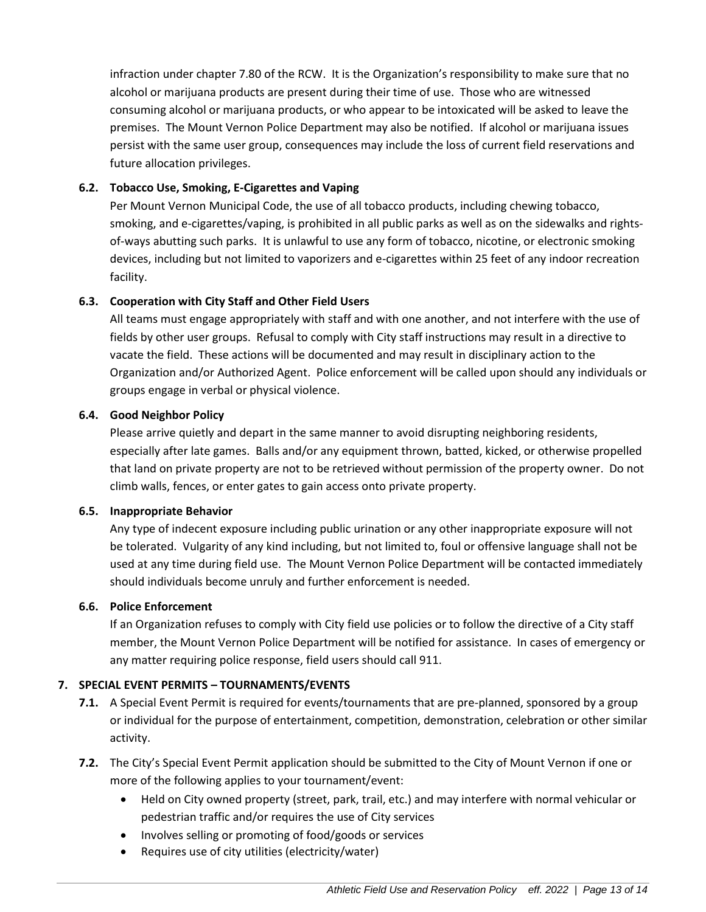infraction under chapter 7.80 of the RCW. It is the Organization's responsibility to make sure that no alcohol or marijuana products are present during their time of use. Those who are witnessed consuming alcohol or marijuana products, or who appear to be intoxicated will be asked to leave the premises. The Mount Vernon Police Department may also be notified. If alcohol or marijuana issues persist with the same user group, consequences may include the loss of current field reservations and future allocation privileges.

## **6.2. Tobacco Use, Smoking, E-Cigarettes and Vaping**

Per Mount Vernon Municipal Code, the use of all tobacco products, including chewing tobacco, smoking, and e-cigarettes/vaping, is prohibited in all public parks as well as on the sidewalks and rightsof-ways abutting such parks. It is unlawful to use any form of tobacco, nicotine, or electronic smoking devices, including but not limited to vaporizers and e-cigarettes within 25 feet of any indoor recreation facility.

#### **6.3. Cooperation with City Staff and Other Field Users**

All teams must engage appropriately with staff and with one another, and not interfere with the use of fields by other user groups. Refusal to comply with City staff instructions may result in a directive to vacate the field. These actions will be documented and may result in disciplinary action to the Organization and/or Authorized Agent. Police enforcement will be called upon should any individuals or groups engage in verbal or physical violence.

#### **6.4. Good Neighbor Policy**

Please arrive quietly and depart in the same manner to avoid disrupting neighboring residents, especially after late games. Balls and/or any equipment thrown, batted, kicked, or otherwise propelled that land on private property are not to be retrieved without permission of the property owner. Do not climb walls, fences, or enter gates to gain access onto private property.

#### **6.5. Inappropriate Behavior**

Any type of indecent exposure including public urination or any other inappropriate exposure will not be tolerated. Vulgarity of any kind including, but not limited to, foul or offensive language shall not be used at any time during field use. The Mount Vernon Police Department will be contacted immediately should individuals become unruly and further enforcement is needed.

#### **6.6. Police Enforcement**

If an Organization refuses to comply with City field use policies or to follow the directive of a City staff member, the Mount Vernon Police Department will be notified for assistance. In cases of emergency or any matter requiring police response, field users should call 911.

#### **7. SPECIAL EVENT PERMITS – TOURNAMENTS/EVENTS**

- **7.1.** A Special Event Permit is required for events/tournaments that are pre-planned, sponsored by a group or individual for the purpose of entertainment, competition, demonstration, celebration or other similar activity.
- **7.2.** The City's Special Event Permit application should be submitted to the City of Mount Vernon if one or more of the following applies to your tournament/event:
	- Held on City owned property (street, park, trail, etc.) and may interfere with normal vehicular or pedestrian traffic and/or requires the use of City services
	- Involves selling or promoting of food/goods or services
	- Requires use of city utilities (electricity/water)